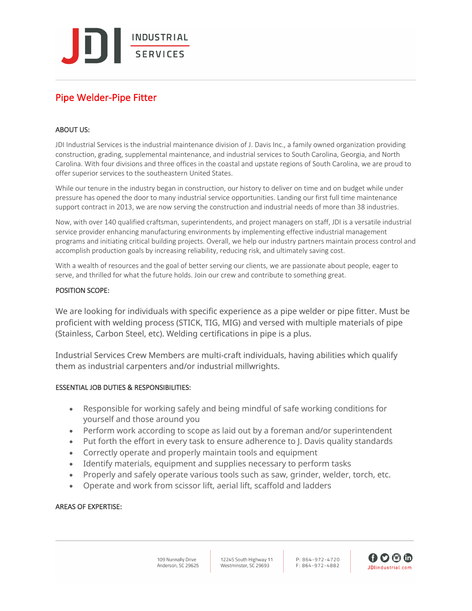**INDUSTRIAL SERVICES** 

# Pipe Welder-Pipe Fitter

# ABOUT US:

JDI Industrial Services is the industrial maintenance division of J. Davis Inc., a family owned organization providing construction, grading, supplemental maintenance, and industrial services to South Carolina, Georgia, and North Carolina. With four divisions and three offices in the coastal and upstate regions of South Carolina, we are proud to offer superior services to the southeastern United States.

While our tenure in the industry began in construction, our history to deliver on time and on budget while under pressure has opened the door to many industrial service opportunities. Landing our first full time maintenance support contract in 2013, we are now serving the construction and industrial needs of more than 38 industries.

Now, with over 140 qualified craftsman, superintendents, and project managers on staff, JDI is a versatile industrial service provider enhancing manufacturing environments by implementing effective industrial management programs and initiating critical building projects. Overall, we help our industry partners maintain process control and accomplish production goals by increasing reliability, reducing risk, and ultimately saving cost.

With a wealth of resources and the goal of better serving our clients, we are passionate about people, eager to serve, and thrilled for what the future holds. Join our crew and contribute to something great.

# POSITION SCOPE:

We are looking for individuals with specific experience as a pipe welder or pipe fitter. Must be proficient with welding process (STICK, TIG, MIG) and versed with multiple materials of pipe (Stainless, Carbon Steel, etc). Welding certifications in pipe is a plus.

Industrial Services Crew Members are multi-craft individuals, having abilities which qualify them as industrial carpenters and/or industrial millwrights.

# ESSENTIAL JOB DUTIES & RESPONSIBILITIES:

- Responsible for working safely and being mindful of safe working conditions for yourself and those around you
- Perform work according to scope as laid out by a foreman and/or superintendent
- Put forth the effort in every task to ensure adherence to J. Davis quality standards
- Correctly operate and properly maintain tools and equipment
- Identify materials, equipment and supplies necessary to perform tasks
- Properly and safely operate various tools such as saw, grinder, welder, torch, etc.
- Operate and work from scissor lift, aerial lift, scaffold and ladders

# AREAS OF EXPERTISE: